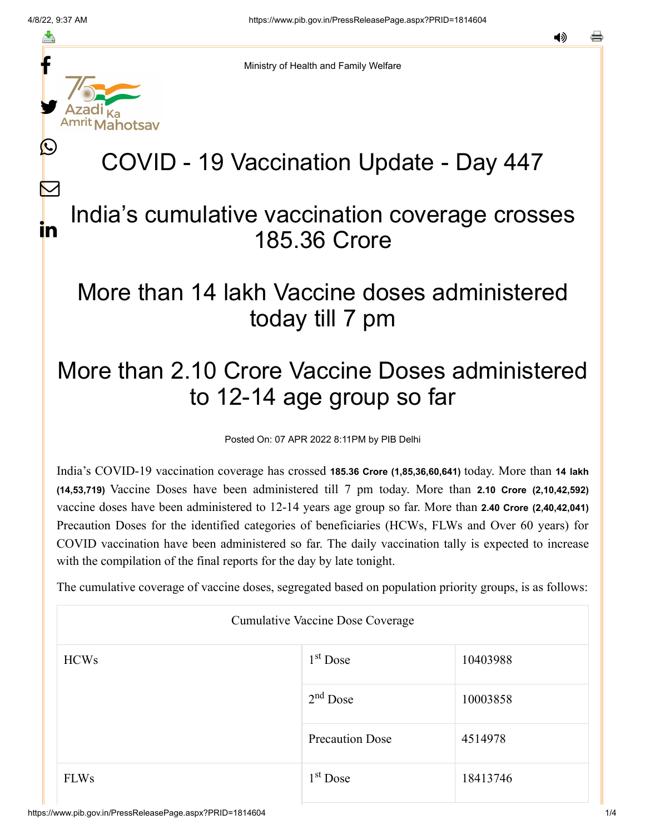f

≛

y.

ahotsav

L

 $\bm{\nabla}$ 

in

Ministry of Health and Family Welfare

# COVID - 19 Vaccination Update - Day 447

#### India's cumulative vaccination coverage crosses 185.36 Crore

### More than 14 lakh Vaccine doses administered today till 7 pm

## More than 2.10 Crore Vaccine Doses administered to 12-14 age group so far

Posted On: 07 APR 2022 8:11PM by PIB Delhi

India's COVID-19 vaccination coverage has crossed **185.36 Crore (1,85,36,60,641)** today. More than **14 lakh (14,53,719)** Vaccine Doses have been administered till 7 pm today. More than **2.10 Crore (2,10,42,592)** vaccine doses have been administered to 12-14 years age group so far. More than **2.40 Crore (2,40,42,041)** Precaution Doses for the identified categories of beneficiaries (HCWs, FLWs and Over 60 years) for COVID vaccination have been administered so far. The daily vaccination tally is expected to increase with the compilation of the final reports for the day by late tonight.

The cumulative coverage of vaccine doses, segregated based on population priority groups, is as follows:

| Cumulative Vaccine Dose Coverage |                        |          |  |  |
|----------------------------------|------------------------|----------|--|--|
| <b>HCWs</b>                      | $1st$ Dose             | 10403988 |  |  |
|                                  | $2nd$ Dose             | 10003858 |  |  |
|                                  | <b>Precaution Dose</b> | 4514978  |  |  |
| <b>FLWs</b>                      | $1st$ Dose             | 18413746 |  |  |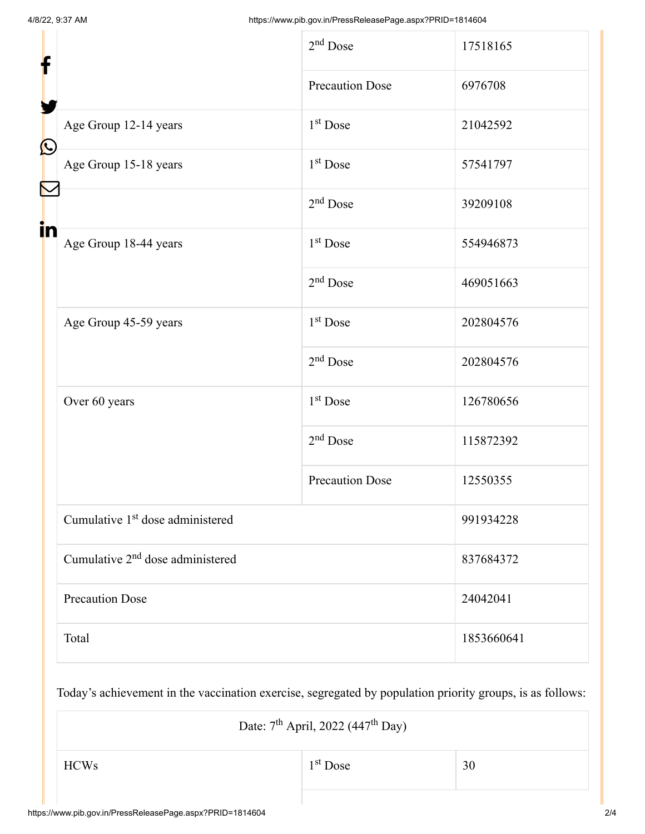| f                 |                                              | $2nd$ Dose             | 17518165   |
|-------------------|----------------------------------------------|------------------------|------------|
|                   |                                              | <b>Precaution Dose</b> | 6976708    |
| $\mathbf{\Omega}$ | Age Group 12-14 years                        | 1 <sup>st</sup> Dose   | 21042592   |
|                   | Age Group 15-18 years                        | $1st$ Dose             | 57541797   |
|                   |                                              | $2nd$ Dose             | 39209108   |
| in                | Age Group 18-44 years                        | 1 <sup>st</sup> Dose   | 554946873  |
|                   |                                              | 2 <sup>nd</sup> Dose   | 469051663  |
|                   | Age Group 45-59 years                        | 1 <sup>st</sup> Dose   | 202804576  |
|                   |                                              | $2nd$ Dose             | 202804576  |
|                   | Over 60 years                                | 1 <sup>st</sup> Dose   | 126780656  |
|                   |                                              | $2nd$ Dose             | 115872392  |
|                   |                                              | <b>Precaution Dose</b> | 12550355   |
|                   | Cumulative 1 <sup>st</sup> dose administered |                        | 991934228  |
|                   | Cumulative 2 <sup>nd</sup> dose administered |                        | 837684372  |
|                   | <b>Precaution Dose</b>                       |                        | 24042041   |
|                   | Total                                        |                        | 1853660641 |

Today's achievement in the vaccination exercise, segregated by population priority groups, is as follows:

| Date: $7th$ April, 2022 (447 <sup>th</sup> Day) |            |    |  |
|-------------------------------------------------|------------|----|--|
| <b>HCWs</b>                                     | $1st$ Dose | 30 |  |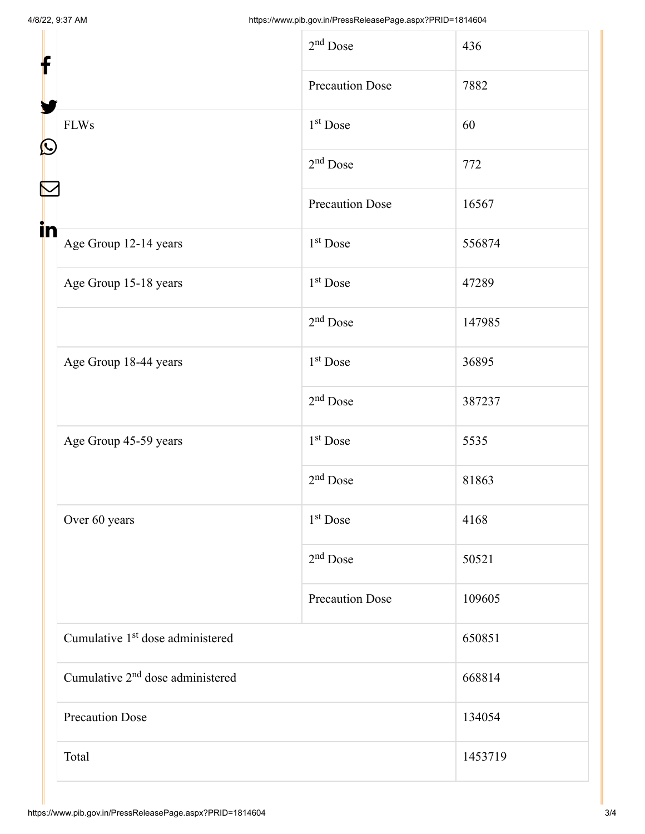| f                                            | $2nd$ Dose             | 436     |
|----------------------------------------------|------------------------|---------|
|                                              | <b>Precaution Dose</b> | 7882    |
| <b>FLWs</b>                                  | $1st$ Dose             | 60      |
|                                              | $2nd$ Dose             | 772     |
|                                              | <b>Precaution Dose</b> | 16567   |
| in<br>Age Group 12-14 years                  | $1st$ Dose             | 556874  |
| Age Group 15-18 years                        | $1st$ Dose             | 47289   |
|                                              | $2nd$ Dose             | 147985  |
| Age Group 18-44 years                        | $1st$ Dose             | 36895   |
|                                              | $2nd$ Dose             | 387237  |
| Age Group 45-59 years                        | $1st$ Dose             | 5535    |
|                                              | $2nd$ Dose             | 81863   |
| Over 60 years                                | $1st$ Dose             | 4168    |
|                                              | $2nd$ Dose             | 50521   |
|                                              | <b>Precaution Dose</b> | 109605  |
| Cumulative 1 <sup>st</sup> dose administered |                        | 650851  |
| Cumulative 2 <sup>nd</sup> dose administered |                        | 668814  |
| <b>Precaution Dose</b>                       |                        | 134054  |
| Total                                        |                        | 1453719 |